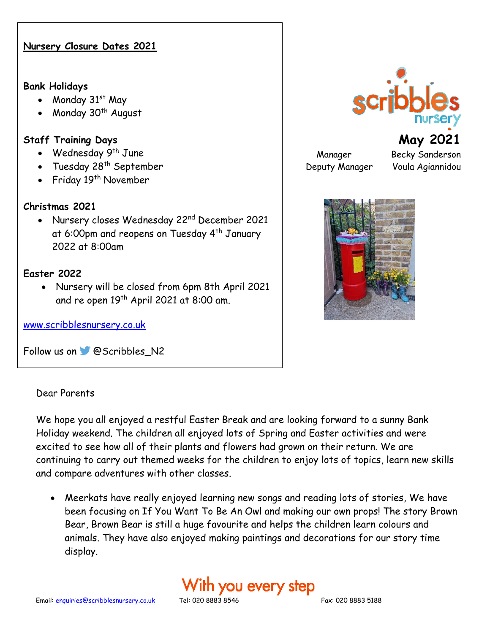### **Nursery Closure Dates 2021**

#### **Bank Holidays**

- Monday 31st May
- Monday  $30<sup>th</sup>$  August

### **Staff Training Days**

- Wednesday 9<sup>th</sup> June
- Tuesday 28<sup>th</sup> September
- Friday 19<sup>th</sup> November

## **Christmas 2021**

• Nursery closes Wednesday 22<sup>nd</sup> December 2021 at 6:00pm and reopens on Tuesday 4<sup>th</sup> January 2022 at 8:00am

#### **Easter 2022**

• Nursery will be closed from 6pm 8th April 2021 and re open 19<sup>th</sup> April 2021 at 8:00 am.

[www.scribblesnursery.co.uk](http://www.scribblesnursery.co.uk/)

Followus on **@Scribbles** N2

#### Dear Parents

We hope you all enjoyed a restful Easter Break and are looking forward to a sunny Bank Holiday weekend. The children all enjoyed lots of Spring and Easter activities and were excited to see how all of their plants and flowers had grown on their return. We are continuing to carry out themed weeks for the children to enjoy lots of topics, learn new skills and compare adventures with other classes.

• Meerkats have really enjoyed learning new songs and reading lots of stories, We have been focusing on If You Want To Be An Owl and making our own props! The story Brown Bear, Brown Bear is still a huge favourite and helps the children learn colours and animals. They have also enjoyed making paintings and decorations for our story time display.

# With you every step



Manager Becky Sanderson Deputy Manager Voula Agiannidou

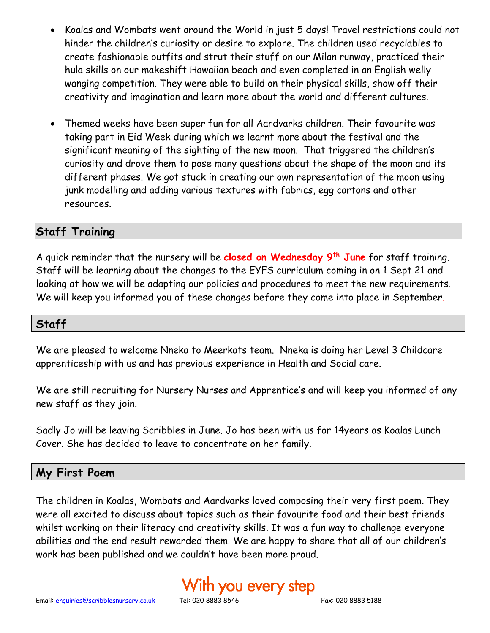- Koalas and Wombats went around the World in just 5 days! Travel restrictions could not hinder the children's curiosity or desire to explore. The children used recyclables to create fashionable outfits and strut their stuff on our Milan runway, practiced their hula skills on our makeshift Hawaiian beach and even completed in an English welly wanging competition. They were able to build on their physical skills, show off their creativity and imagination and learn more about the world and different cultures.
- Themed weeks have been super fun for all Aardvarks children. Their favourite was taking part in Eid Week during which we learnt more about the festival and the significant meaning of the sighting of the new moon. That triggered the children's curiosity and drove them to pose many questions about the shape of the moon and its different phases. We got stuck in creating our own representation of the moon using junk modelling and adding various textures with fabrics, egg cartons and other resources.

# **Staff Training**

A quick reminder that the nursery will be **closed on Wednesday 9th June** for staff training. Staff will be learning about the changes to the EYFS curriculum coming in on 1 Sept 21 and looking at how we will be adapting our policies and procedures to meet the new requirements. We will keep you informed you of these changes before they come into place in September.

# **Staff**

We are pleased to welcome Nneka to Meerkats team. Nneka is doing her Level 3 Childcare apprenticeship with us and has previous experience in Health and Social care.

We are still recruiting for Nursery Nurses and Apprentice's and will keep you informed of any new staff as they join.

Sadly Jo will be leaving Scribbles in June. Jo has been with us for 14years as Koalas Lunch Cover. She has decided to leave to concentrate on her family.

# **My First Poem**

The children in Koalas, Wombats and Aardvarks loved composing their very first poem. They were all excited to discuss about topics such as their favourite food and their best friends whilst working on their literacy and creativity skills. It was a fun way to challenge everyone abilities and the end result rewarded them. We are happy to share that all of our children's work has been published and we couldn't have been more proud.

# ith you every step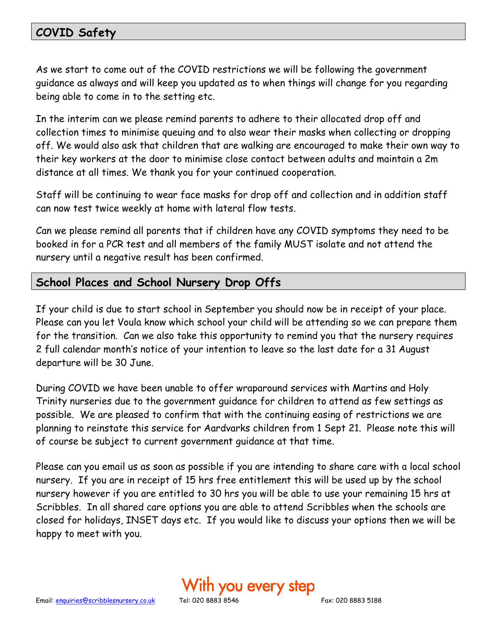# **COVID Safety**

As we start to come out of the COVID restrictions we will be following the government guidance as always and will keep you updated as to when things will change for you regarding being able to come in to the setting etc.

In the interim can we please remind parents to adhere to their allocated drop off and collection times to minimise queuing and to also wear their masks when collecting or dropping off. We would also ask that children that are walking are encouraged to make their own way to their key workers at the door to minimise close contact between adults and maintain a 2m distance at all times. We thank you for your continued cooperation.

Staff will be continuing to wear face masks for drop off and collection and in addition staff can now test twice weekly at home with lateral flow tests.

Can we please remind all parents that if children have any COVID symptoms they need to be booked in for a PCR test and all members of the family MUST isolate and not attend the nursery until a negative result has been confirmed.

# **School Places and School Nursery Drop Offs**

If your child is due to start school in September you should now be in receipt of your place. Please can you let Voula know which school your child will be attending so we can prepare them for the transition. Can we also take this opportunity to remind you that the nursery requires 2 full calendar month's notice of your intention to leave so the last date for a 31 August departure will be 30 June.

During COVID we have been unable to offer wraparound services with Martins and Holy Trinity nurseries due to the government guidance for children to attend as few settings as possible. We are pleased to confirm that with the continuing easing of restrictions we are planning to reinstate this service for Aardvarks children from 1 Sept 21. Please note this will of course be subject to current government guidance at that time.

Please can you email us as soon as possible if you are intending to share care with a local school nursery. If you are in receipt of 15 hrs free entitlement this will be used up by the school nursery however if you are entitled to 30 hrs you will be able to use your remaining 15 hrs at Scribbles. In all shared care options you are able to attend Scribbles when the schools are closed for holidays, INSET days etc. If you would like to discuss your options then we will be happy to meet with you.

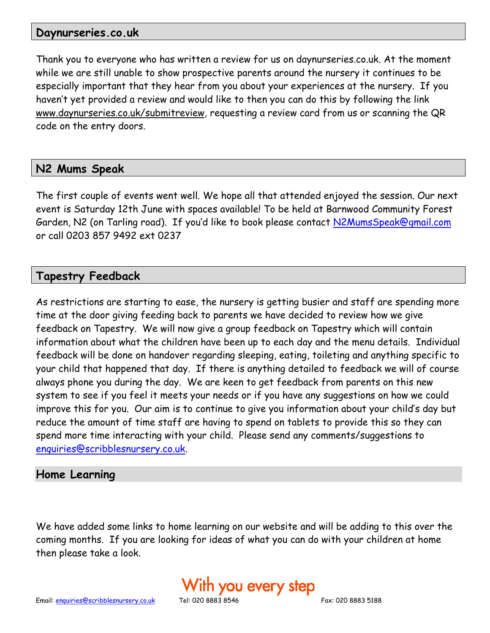#### **Daynurseries.co.uk**

Thank you to everyone who has written a review for us on daynurseries.co.uk. At the moment while we are still unable to show prospective parents around the nursery it continues to be especially important that they hear from you about your experiences at the nursery. If you haven't yet provided a review and would like to then you can do this by following the link [www.daynurseries.co.uk/submitreview](http://www.daynurseries.co.uk/submitreview)*,* requesting a review card from us or scanning the QR code on the entry doors.

# **N2 Mums Speak**

The first couple of events went well. We hope all that attended enjoyed the session. Our next event is Saturday 12th June with spaces available! To be held at Barnwood Community Forest Garden, N2 (on Tarling road). If you'd like to book please contact [N2MumsSpeak@gmail.com](mailto:N2MumsSpeak@gmail.com) or call 0203 857 9492 ext 0237

## **Tapestry Feedback**

As restrictions are starting to ease, the nursery is getting busier and staff are spending more time at the door giving feeding back to parents we have decided to review how we give feedback on Tapestry. We will now give a group feedback on Tapestry which will contain information about what the children have been up to each day and the menu details. Individual feedback will be done on handover regarding sleeping, eating, toileting and anything specific to your child that happened that day. If there is anything detailed to feedback we will of course always phone you during the day. We are keen to get feedback from parents on this new system to see if you feel it meets your needs or if you have any suggestions on how we could improve this for you. Our aim is to continue to give you information about your child's day but reduce the amount of time staff are having to spend on tablets to provide this so they can spend more time interacting with your child. Please send any comments/suggestions to [enquiries@scribblesnursery.co.uk.](mailto:enquiries@scribblesnursery.co.uk)

#### **Home Learning**

We have added some links to home learning on our website and will be adding to this over the coming months. If you are looking for ideas of what you can do with your children at home then please take a look.